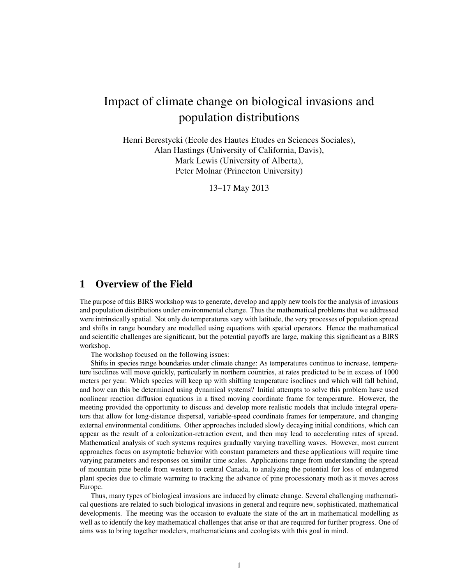# Impact of climate change on biological invasions and population distributions

Henri Berestycki (Ecole des Hautes Etudes en Sciences Sociales), Alan Hastings (University of California, Davis), Mark Lewis (University of Alberta), Peter Molnar (Princeton University)

13–17 May 2013

# 1 Overview of the Field

The purpose of this BIRS workshop was to generate, develop and apply new tools for the analysis of invasions and population distributions under environmental change. Thus the mathematical problems that we addressed were intrinsically spatial. Not only do temperatures vary with latitude, the very processes of population spread and shifts in range boundary are modelled using equations with spatial operators. Hence the mathematical and scientific challenges are significant, but the potential payoffs are large, making this significant as a BIRS workshop.

The workshop focused on the following issues:

Shifts in species range boundaries under climate change: As temperatures continue to increase, temperature isoclines will move quickly, particularly in northern countries, at rates predicted to be in excess of 1000 meters per year. Which species will keep up with shifting temperature isoclines and which will fall behind, and how can this be determined using dynamical systems? Initial attempts to solve this problem have used nonlinear reaction diffusion equations in a fixed moving coordinate frame for temperature. However, the meeting provided the opportunity to discuss and develop more realistic models that include integral operators that allow for long-distance dispersal, variable-speed coordinate frames for temperature, and changing external environmental conditions. Other approaches included slowly decaying initial conditions, which can appear as the result of a colonization-retraction event, and then may lead to accelerating rates of spread. Mathematical analysis of such systems requires gradually varying travelling waves. However, most current approaches focus on asymptotic behavior with constant parameters and these applications will require time varying parameters and responses on similar time scales. Applications range from understanding the spread of mountain pine beetle from western to central Canada, to analyzing the potential for loss of endangered plant species due to climate warming to tracking the advance of pine processionary moth as it moves across Europe.

Thus, many types of biological invasions are induced by climate change. Several challenging mathematical questions are related to such biological invasions in general and require new, sophisticated, mathematical developments. The meeting was the occasion to evaluate the state of the art in mathematical modelling as well as to identify the key mathematical challenges that arise or that are required for further progress. One of aims was to bring together modelers, mathematicians and ecologists with this goal in mind.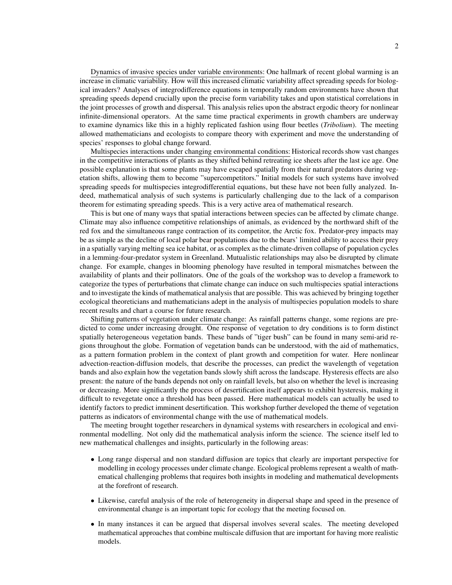Dynamics of invasive species under variable environments: One hallmark of recent global warming is an increase in climatic variability. How will this increased climatic variability affect spreading speeds for biological invaders? Analyses of integrodifference equations in temporally random environments have shown that spreading speeds depend crucially upon the precise form variability takes and upon statistical correlations in the joint processes of growth and dispersal. This analysis relies upon the abstract ergodic theory for nonlinear infinite-dimensional operators. At the same time practical experiments in growth chambers are underway to examine dynamics like this in a highly replicated fashion using flour beetles (*Tribolium*). The meeting allowed mathematicians and ecologists to compare theory with experiment and move the understanding of species' responses to global change forward.

Multispecies interactions under changing environmental conditions: Historical records show vast changes in the competitive interactions of plants as they shifted behind retreating ice sheets after the last ice age. One possible explanation is that some plants may have escaped spatially from their natural predators during vegetation shifts, allowing them to become "supercompetitors." Initial models for such systems have involved spreading speeds for multispecies integrodifferential equations, but these have not been fully analyzed. Indeed, mathematical analysis of such systems is particularly challenging due to the lack of a comparison theorem for estimating spreading speeds. This is a very active area of mathematical research.

This is but one of many ways that spatial interactions between species can be affected by climate change. Climate may also influence competitive relationships of animals, as evidenced by the northward shift of the red fox and the simultaneous range contraction of its competitor, the Arctic fox. Predator-prey impacts may be as simple as the decline of local polar bear populations due to the bears' limited ability to access their prey in a spatially varying melting sea ice habitat, or as complex as the climate-driven collapse of population cycles in a lemming-four-predator system in Greenland. Mutualistic relationships may also be disrupted by climate change. For example, changes in blooming phenology have resulted in temporal mismatches between the availability of plants and their pollinators. One of the goals of the workshop was to develop a framework to categorize the types of perturbations that climate change can induce on such multispecies spatial interactions and to investigate the kinds of mathematical analysis that are possible. This was achieved by bringing together ecological theoreticians and mathematicians adept in the analysis of multispecies population models to share recent results and chart a course for future research.

Shifting patterns of vegetation under climate change: As rainfall patterns change, some regions are predicted to come under increasing drought. One response of vegetation to dry conditions is to form distinct spatially heterogeneous vegetation bands. These bands of "tiger bush" can be found in many semi-arid regions throughout the globe. Formation of vegetation bands can be understood, with the aid of mathematics, as a pattern formation problem in the context of plant growth and competition for water. Here nonlinear advection-reaction-diffusion models, that describe the processes, can predict the wavelength of vegetation bands and also explain how the vegetation bands slowly shift across the landscape. Hysteresis effects are also present: the nature of the bands depends not only on rainfall levels, but also on whether the level is increasing or decreasing. More significantly the process of desertification itself appears to exhibit hysteresis, making it difficult to revegetate once a threshold has been passed. Here mathematical models can actually be used to identify factors to predict imminent desertification. This workshop further developed the theme of vegetation patterns as indicators of environmental change with the use of mathematical models.

The meeting brought together researchers in dynamical systems with researchers in ecological and environmental modelling. Not only did the mathematical analysis inform the science. The science itself led to new mathematical challenges and insights, particularly in the following areas:

- Long range dispersal and non standard diffusion are topics that clearly are important perspective for modelling in ecology processes under climate change. Ecological problems represent a wealth of mathematical challenging problems that requires both insights in modeling and mathematical developments at the forefront of research.
- Likewise, careful analysis of the role of heterogeneity in dispersal shape and speed in the presence of environmental change is an important topic for ecology that the meeting focused on.
- In many instances it can be argued that dispersal involves several scales. The meeting developed mathematical approaches that combine multiscale diffusion that are important for having more realistic models.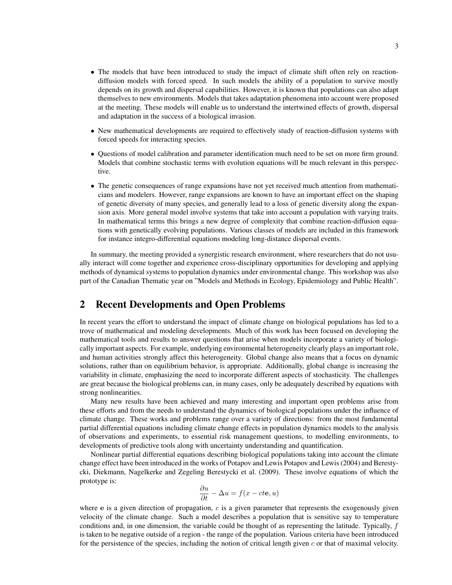- The models that have been introduced to study the impact of climate shift often rely on reactiondiffusion models with forced speed. In such models the ability of a population to survive mostly depends on its growth and dispersal capabilities. However, it is known that populations can also adapt themselves to new environments. Models that takes adaptation phenomena into account were proposed at the meeting. These models will enable us to understand the intertwined effects of growth, dispersal and adaptation in the success of a biological invasion.
- New mathematical developments are required to effectively study of reaction-diffusion systems with forced speeds for interacting species.
- Questions of model calibration and parameter identification much need to be set on more firm ground. Models that combine stochastic terms with evolution equations will be much relevant in this perspective.
- The genetic consequences of range expansions have not yet received much attention from mathematicians and modelers. However, range expansions are known to have an important effect on the shaping of genetic diversity of many species, and generally lead to a loss of genetic diversity along the expansion axis. More general model involve systems that take into account a population with varying traits. In mathematical terms this brings a new degree of complexity that combine reaction-diffusion equations with genetically evolving populations. Various classes of models are included in this framework for instance integro-differential equations modeling long-distance dispersal events.

In summary, the meeting provided a synergistic research environment, where researchers that do not usually interact will come together and experience cross-disciplinary opportunities for developing and applying methods of dynamical systems to population dynamics under environmental change. This workshop was also part of the Canadian Thematic year on "Models and Methods in Ecology, Epidemiology and Public Health".

# 2 Recent Developments and Open Problems

In recent years the effort to understand the impact of climate change on biological populations has led to a trove of mathematical and modeling developments. Much of this work has been focused on developing the mathematical tools and results to answer questions that arise when models incorporate a variety of biologically important aspects. For example, underlying environmental heterogeneity clearly plays an important role, and human activities strongly affect this heterogeneity. Global change also means that a focus on dynamic solutions, rather than on equilibrium behavior, is appropriate. Additionally, global change is increasing the variability in climate, emphasizing the need to incorporate different aspects of stochasticity. The challenges are great because the biological problems can, in many cases, only be adequately described by equations with strong nonlinearities.

Many new results have been achieved and many interesting and important open problems arise from these efforts and from the needs to understand the dynamics of biological populations under the influence of climate change. These works and problems range over a variety of directions: from the most fundamental partial differential equations including climate change effects in population dynamics models to the analysis of observations and experiments, to essential risk management questions, to modelling environments, to developments of predictive tools along with uncertainty understanding and quantification.

Nonlinear partial differential equations describing biological populations taking into account the climate change effect have been introduced in the works of Potapov and Lewis Potapov and Lewis (2004) and Berestycki, Diekmann, Nagelkerke and Zegeling Berestycki et al. (2009). These involve equations of which the prototype is:

$$
\frac{\partial u}{\partial t} - \Delta u = f(x - ct\mathbf{e}, u)
$$

where e is a given direction of propagation,  $c$  is a given parameter that represents the exogenously given velocity of the climate change. Such a model describes a population that is sensitive say to temperature conditions and, in one dimension, the variable could be thought of as representing the latitude. Typically, f is taken to be negative outside of a region - the range of the population. Various criteria have been introduced for the persistence of the species, including the notion of critical length given  $c$  or that of maximal velocity.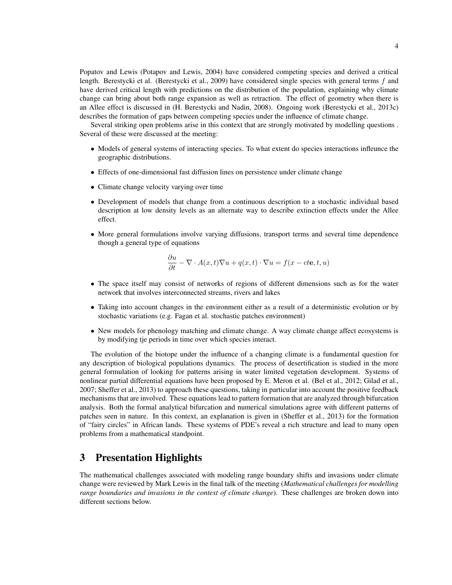Popatov and Lewis (Potapov and Lewis, 2004) have considered competing species and derived a critical length. Berestycki et al. (Berestycki et al., 2009) have considered single species with general terms f and have derived critical length with predictions on the distribution of the population, explaining why climate change can bring about both range expansion as well as retraction. The effect of geometry when there is an Allee effect is discussed in (H. Berestycki and Nadin, 2008). Ongoing work (Berestycki et al., 2013c) describes the formation of gaps between competing species under the influence of climate change.

Several striking open problems arise in this context that are strongly motivated by modelling questions . Several of these were discussed at the meeting:

- Models of general systems of interacting species. To what extent do species interactions infleunce the geographic distributions.
- Effects of one-dimensional fast diffusion lines on persistence under climate change
- Climate change velocity varying over time
- Development of models that change from a continuous description to a stochastic individual based description at low density levels as an alternate way to describe extinction effects under the Allee effect.
- More general formulations involve varying diffusions, transport terms and several time dependence though a general type of equations

$$
\frac{\partial u}{\partial t} - \nabla \cdot A(x, t) \nabla u + q(x, t) \cdot \nabla u = f(x - ct\mathbf{e}, t, u)
$$

- The space itself may consist of networks of regions of different dimensions such as for the water network that involves interconnected streams, rivers and lakes
- Taking into account changes in the environment either as a result of a deterministic evolution or by stochastic variations (e.g. Fagan et al. stochastic patches environment)
- New models for phenology matching and climate change. A way climate change affect ecosystems is by modifying tje periods in time over which species interact.

The evolution of the biotope under the influence of a changing climate is a fundamental question for any description of biological populations dynamics. The process of desertification is studied in the more general formulation of looking for patterns arising in water limited vegetation development. Systems of nonlinear partial differential equations have been proposed by E. Meron et al. (Bel et al., 2012; Gilad et al., 2007; Sheffer et al., 2013) to approach these questions, taking in particular into account the positive feedback mechanisms that are involved. These equations lead to pattern formation that are analyzed through bifurcation analysis. Both the formal analytical bifurcation and numerical simulations agree with different patterns of patches seen in nature. In this context, an explanation is given in (Sheffer et al., 2013) for the formation of "fairy circles" in African lands. These systems of PDE's reveal a rich structure and lead to many open problems from a mathematical standpoint.

# 3 Presentation Highlights

The mathematical challenges associated with modeling range boundary shifts and invasions under climate change were reviewed by Mark Lewis in the final talk of the meeting (*Mathematical challenges for modelling range boundaries and invasions in the context of climate change*). These challenges are broken down into different sections below.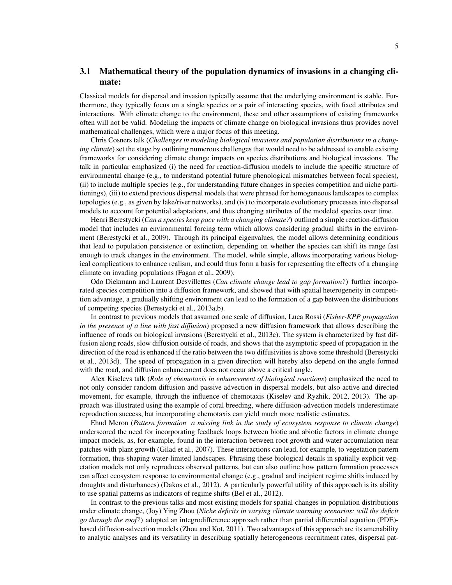### 3.1 Mathematical theory of the population dynamics of invasions in a changing climate:

Classical models for dispersal and invasion typically assume that the underlying environment is stable. Furthermore, they typically focus on a single species or a pair of interacting species, with fixed attributes and interactions. With climate change to the environment, these and other assumptions of existing frameworks often will not be valid. Modeling the impacts of climate change on biological invasions thus provides novel mathematical challenges, which were a major focus of this meeting.

Chris Cosners talk (*Challenges in modeling biological invasions and population distributions in a changing climate*) set the stage by outlining numerous challenges that would need to be addressed to enable existing frameworks for considering climate change impacts on species distributions and biological invasions. The talk in particular emphasized (i) the need for reaction-diffusion models to include the specific structure of environmental change (e.g., to understand potential future phenological mismatches between focal species), (ii) to include multiple species (e.g., for understanding future changes in species competition and niche partitionings), (iii) to extend previous dispersal models that were phrased for homogeneous landscapes to complex topologies (e.g., as given by lake/river networks), and (iv) to incorporate evolutionary processes into dispersal models to account for potential adaptations, and thus changing attributes of the modeled species over time.

Henri Berestycki (*Can a species keep pace with a changing climate?*) outlined a simple reaction-diffusion model that includes an environmental forcing term which allows considering gradual shifts in the environment (Berestycki et al., 2009). Through its principal eigenvalues, the model allows determining conditions that lead to population persistence or extinction, depending on whether the species can shift its range fast enough to track changes in the environment. The model, while simple, allows incorporating various biological complications to enhance realism, and could thus form a basis for representing the effects of a changing climate on invading populations (Fagan et al., 2009).

Odo Diekmann and Laurent Desvillettes (*Can climate change lead to gap formation?*) further incorporated species competition into a diffusion framework, and showed that with spatial heterogeneity in competition advantage, a gradually shifting environment can lead to the formation of a gap between the distributions of competing species (Berestycki et al., 2013a,b).

In contrast to previous models that assumed one scale of diffusion, Luca Rossi (*Fisher-KPP propagation in the presence of a line with fast diffusion*) proposed a new diffusion framework that allows describing the influence of roads on biological invasions (Berestycki et al., 2013c). The system is characterized by fast diffusion along roads, slow diffusion outside of roads, and shows that the asymptotic speed of propagation in the direction of the road is enhanced if the ratio between the two diffusivities is above some threshold (Berestycki et al., 2013d). The speed of propagation in a given direction will hereby also depend on the angle formed with the road, and diffusion enhancement does not occur above a critical angle.

Alex Kiselevs talk (*Role of chemotaxis in enhancement of biological reactions*) emphasized the need to not only consider random diffusion and passive advection in dispersal models, but also active and directed movement, for example, through the influence of chemotaxis (Kiselev and Ryzhik, 2012, 2013). The approach was illustrated using the example of coral breeding, where diffusion-advection models underestimate reproduction success, but incorporating chemotaxis can yield much more realistic estimates.

Ehud Meron (*Pattern formation a missing link in the study of ecosystem response to climate change*) underscored the need for incorporating feedback loops between biotic and abiotic factors in climate change impact models, as, for example, found in the interaction between root growth and water accumulation near patches with plant growth (Gilad et al., 2007). These interactions can lead, for example, to vegetation pattern formation, thus shaping water-limited landscapes. Phrasing these biological details in spatially explicit vegetation models not only reproduces observed patterns, but can also outline how pattern formation processes can affect ecosystem response to environmental change (e.g., gradual and incipient regime shifts induced by droughts and disturbances) (Dakos et al., 2012). A particularly powerful utility of this approach is its ability to use spatial patterns as indicators of regime shifts (Bel et al., 2012).

In contrast to the previous talks and most existing models for spatial changes in population distributions under climate change, (Joy) Ying Zhou (*Niche deficits in varying climate warming scenarios: will the deficit go through the roof?*) adopted an integrodifference approach rather than partial differential equation (PDE) based diffusion-advection models (Zhou and Kot, 2011). Two advantages of this approach are its amenability to analytic analyses and its versatility in describing spatially heterogeneous recruitment rates, dispersal pat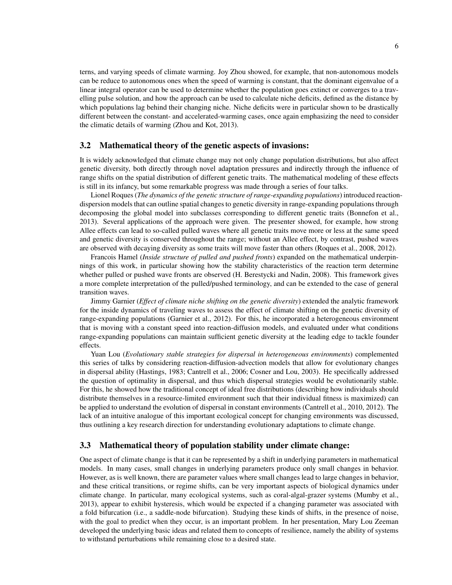terns, and varying speeds of climate warming. Joy Zhou showed, for example, that non-autonomous models can be reduce to autonomous ones when the speed of warming is constant, that the dominant eigenvalue of a linear integral operator can be used to determine whether the population goes extinct or converges to a travelling pulse solution, and how the approach can be used to calculate niche deficits, defined as the distance by which populations lag behind their changing niche. Niche deficits were in particular shown to be drastically different between the constant- and accelerated-warming cases, once again emphasizing the need to consider the climatic details of warming (Zhou and Kot, 2013).

#### 3.2 Mathematical theory of the genetic aspects of invasions:

It is widely acknowledged that climate change may not only change population distributions, but also affect genetic diversity, both directly through novel adaptation pressures and indirectly through the influence of range shifts on the spatial distribution of different genetic traits. The mathematical modeling of these effects is still in its infancy, but some remarkable progress was made through a series of four talks.

Lionel Roques (*The dynamics of the genetic structure of range-expanding populations*) introduced reactiondispersion models that can outline spatial changes to genetic diversity in range-expanding populations through decomposing the global model into subclasses corresponding to different genetic traits (Bonnefon et al., 2013). Several applications of the approach were given. The presenter showed, for example, how strong Allee effects can lead to so-called pulled waves where all genetic traits move more or less at the same speed and genetic diversity is conserved throughout the range; without an Allee effect, by contrast, pushed waves are observed with decaying diversity as some traits will move faster than others (Roques et al., 2008, 2012).

Francois Hamel (*Inside structure of pulled and pushed fronts*) expanded on the mathematical underpinnings of this work, in particular showing how the stability characteristics of the reaction term determine whether pulled or pushed wave fronts are observed (H. Berestycki and Nadin, 2008). This framework gives a more complete interpretation of the pulled/pushed terminology, and can be extended to the case of general transition waves.

Jimmy Garnier (*Effect of climate niche shifting on the genetic diversity*) extended the analytic framework for the inside dynamics of traveling waves to assess the effect of climate shifting on the genetic diversity of range-expanding populations (Garnier et al., 2012). For this, he incorporated a heterogeneous environment that is moving with a constant speed into reaction-diffusion models, and evaluated under what conditions range-expanding populations can maintain sufficient genetic diversity at the leading edge to tackle founder effects.

Yuan Lou (*Evolutionary stable strategies for dispersal in heterogeneous environments*) complemented this series of talks by considering reaction-diffusion-advection models that allow for evolutionary changes in dispersal ability (Hastings, 1983; Cantrell et al., 2006; Cosner and Lou, 2003). He specifically addressed the question of optimality in dispersal, and thus which dispersal strategies would be evolutionarily stable. For this, he showed how the traditional concept of ideal free distributions (describing how individuals should distribute themselves in a resource-limited environment such that their individual fitness is maximized) can be applied to understand the evolution of dispersal in constant environments (Cantrell et al., 2010, 2012). The lack of an intuitive analogue of this important ecological concept for changing environments was discussed, thus outlining a key research direction for understanding evolutionary adaptations to climate change.

#### 3.3 Mathematical theory of population stability under climate change:

One aspect of climate change is that it can be represented by a shift in underlying parameters in mathematical models. In many cases, small changes in underlying parameters produce only small changes in behavior. However, as is well known, there are parameter values where small changes lead to large changes in behavior, and these critical transitions, or regime shifts, can be very important aspects of biological dynamics under climate change. In particular, many ecological systems, such as coral-algal-grazer systems (Mumby et al., 2013), appear to exhibit hysteresis, which would be expected if a changing parameter was associated with a fold bifurcation (i.e., a saddle-node bifurcation). Studying these kinds of shifts, in the presence of noise, with the goal to predict when they occur, is an important problem. In her presentation, Mary Lou Zeeman developed the underlying basic ideas and related them to concepts of resilience, namely the ability of systems to withstand perturbations while remaining close to a desired state.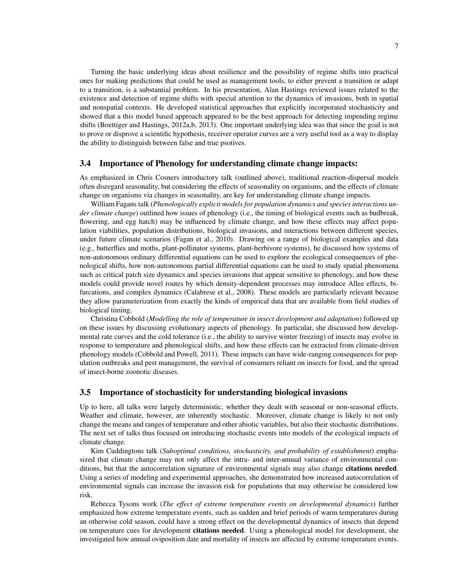Turning the basic underlying ideas about resilience and the possibility of regime shifts into practical ones for making predictions that could be used as management tools, to either prevent a transition or adapt to a transition, is a substantial problem. In his presentation, Alan Hastings reviewed issues related to the existence and detection of regime shifts with special attention to the dynamics of invasions, both in spatial and nonspatial contexts. He developed statistical approaches that explicitly incorporated stochasticity and showed that a this model based approach appeared to be the best approach for detecting impending regime shifts (Boettiger and Hastings, 2012a,b, 2013). One important underlying idea was that since the goal is not to prove or disprove a scientific hypothesis, receiver operator curves are a very useful tool as a way to display the ability to distinguish between false and true psotives.

#### 3.4 Importance of Phenology for understanding climate change impacts:

As emphasized in Chris Cosners introductory talk (outlined above), traditional reaction-dispersal models often disregard seasonality, but considering the effects of seasonality on organisms, and the effects of climate change on organisms via changes in seasonality, are key for understanding climate change impacts.

William Fagans talk (*Phenologically explicit models for population dynamics and species interactions under climate change*) outlined how issues of phenology (i.e., the timing of biological events such as budbreak, flowering, and egg hatch) may be influenced by climate change, and how these effects may affect population viabilities, population distributions, biological invasions, and interactions between different species, under future climate scenarios (Fagan et al., 2010). Drawing on a range of biological examples and data (e.g., butterflies and moths, plant-pollinator systems, plant-herbivore systems), he discussed how systems of non-autonomous ordinary differential equations can be used to explore the ecological consequences of phenological shifts, how non-autonomous partial differential equations can be used to study spatial phenomena such as critical patch size dynamics and species invasions that appear sensitive to phenology, and how these models could provide novel routes by which density-dependent processes may introduce Allee effects, bifurcations, and complex dynamics (Calabrese et al., 2008). These models are particularly relevant because they allow parameterization from exactly the kinds of empirical data that are available from field studies of biological timing.

Christina Cobbold (*Modelling the role of temperature in insect development and adaptation*) followed up on these issues by discussing evolutionary aspects of phenology. In particular, she discussed how developmental rate curves and the cold tolerance (i.e., the ability to survive winter freezing) of insects may evolve in response to temperature and phenological shifts, and how these effects can be extracted from climate-driven phenology models (Cobbold and Powell, 2011). These impacts can have wide-ranging consequences for population outbreaks and pest management, the survival of consumers reliant on insects for food, and the spread of insect-borne zoonotic diseases.

#### 3.5 Importance of stochasticity for understanding biological invasions

Up to here, all talks were largely deterministic, whether they dealt with seasonal or non-seasonal effects. Weather and climate, however, are inherently stochastic. Moreover, climate change is likely to not only change the means and ranges of temperature and other abiotic variables, but also their stochastic distributions. The next set of talks thus focused on introducing stochastic events into models of the ecological impacts of climate change.

Kim Cuddingtons talk (*Suboptimal conditions, stochasticity, and probability of establishment*) emphasized that climate change may not only affect the intra- and inter-annual variance of environmental conditions, but that the autocorrelation signature of environmental signals may also change citations needed. Using a series of modeling and experimental approaches, she demonstrated how increased autocorrelation of environmental signals can increase the invasion risk for populations that may otherwise be considered low risk.

Rebecca Tysons work (*The effect of extreme temperature events on developmental dynamics*) further emphasized how extreme temperature events, such as sudden and brief periods of warm temperatures during an otherwise cold season, could have a strong effect on the developmental dynamics of insects that depend on temperature cues for development citations needed. Using a phenological model for development, she investigated how annual oviposition date and mortality of insects are affected by extreme temperature events.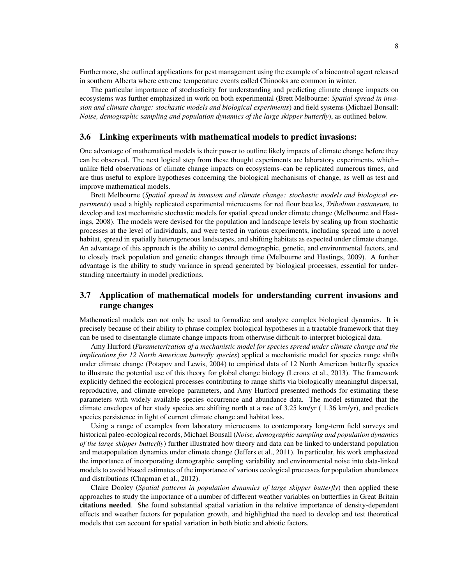Furthermore, she outlined applications for pest management using the example of a biocontrol agent released in southern Alberta where extreme temperature events called Chinooks are common in winter.

The particular importance of stochasticity for understanding and predicting climate change impacts on ecosystems was further emphasized in work on both experimental (Brett Melbourne: *Spatial spread in invasion and climate change: stochastic models and biological experiments*) and field systems (Michael Bonsall: *Noise, demographic sampling and population dynamics of the large skipper butterfly*), as outlined below.

#### 3.6 Linking experiments with mathematical models to predict invasions:

One advantage of mathematical models is their power to outline likely impacts of climate change before they can be observed. The next logical step from these thought experiments are laboratory experiments, which– unlike field observations of climate change impacts on ecosystems–can be replicated numerous times, and are thus useful to explore hypotheses concerning the biological mechanisms of change, as well as test and improve mathematical models.

Brett Melbourne (*Spatial spread in invasion and climate change: stochastic models and biological experiments*) used a highly replicated experimental microcosms for red flour beetles, *Tribolium castaneum*, to develop and test mechanistic stochastic models for spatial spread under climate change (Melbourne and Hastings, 2008). The models were devised for the population and landscape levels by scaling up from stochastic processes at the level of individuals, and were tested in various experiments, including spread into a novel habitat, spread in spatially heterogeneous landscapes, and shifting habitats as expected under climate change. An advantage of this approach is the ability to control demographic, genetic, and environmental factors, and to closely track population and genetic changes through time (Melbourne and Hastings, 2009). A further advantage is the ability to study variance in spread generated by biological processes, essential for understanding uncertainty in model predictions.

### 3.7 Application of mathematical models for understanding current invasions and range changes

Mathematical models can not only be used to formalize and analyze complex biological dynamics. It is precisely because of their ability to phrase complex biological hypotheses in a tractable framework that they can be used to disentangle climate change impacts from otherwise difficult-to-interpret biological data.

Amy Hurford (*Parameterization of a mechanistic model for species spread under climate change and the implications for 12 North American butterfly species*) applied a mechanistic model for species range shifts under climate change (Potapov and Lewis, 2004) to empirical data of 12 North American butterfly species to illustrate the potential use of this theory for global change biology (Leroux et al., 2013). The framework explicitly defined the ecological processes contributing to range shifts via biologically meaningful dispersal, reproductive, and climate envelope parameters, and Amy Hurford presented methods for estimating these parameters with widely available species occurrence and abundance data. The model estimated that the climate envelopes of her study species are shifting north at a rate of 3.25 km/yr ( 1.36 km/yr), and predicts species persistence in light of current climate change and habitat loss.

Using a range of examples from laboratory microcosms to contemporary long-term field surveys and historical paleo-ecological records, Michael Bonsall (*Noise, demographic sampling and population dynamics of the large skipper butterfly*) further illustrated how theory and data can be linked to understand population and metapopulation dynamics under climate change (Jeffers et al., 2011). In particular, his work emphasized the importance of incorporating demographic sampling variability and environmental noise into data-linked models to avoid biased estimates of the importance of various ecological processes for population abundances and distributions (Chapman et al., 2012).

Claire Dooley (*Spatial patterns in population dynamics of large skipper butterfly*) then applied these approaches to study the importance of a number of different weather variables on butterflies in Great Britain citations needed. She found substantial spatial variation in the relative importance of density-dependent effects and weather factors for population growth, and highlighted the need to develop and test theoretical models that can account for spatial variation in both biotic and abiotic factors.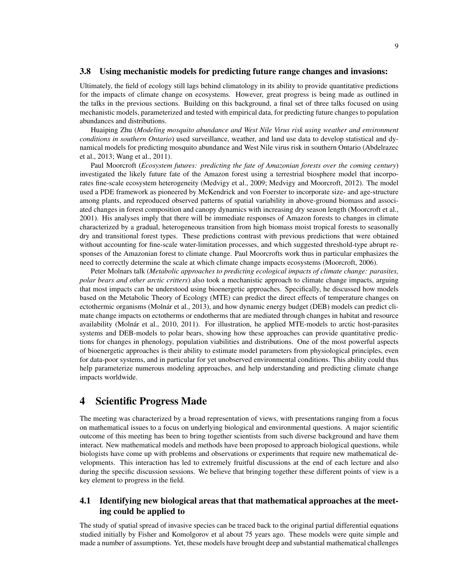#### 3.8 Using mechanistic models for predicting future range changes and invasions:

Ultimately, the field of ecology still lags behind climatology in its ability to provide quantitative predictions for the impacts of climate change on ecosystems. However, great progress is being made as outlined in the talks in the previous sections. Building on this background, a final set of three talks focused on using mechanistic models, parameterized and tested with empirical data, for predicting future changes to population abundances and distributions.

Huaiping Zhu (*Modeling mosquito abundance and West Nile Virus risk using weather and environment conditions in southern Ontario*) used surveillance, weather, and land use data to develop statistical and dynamical models for predicting mosquito abundance and West Nile virus risk in southern Ontario (Abdelrazec et al., 2013; Wang et al., 2011).

Paul Moorcroft (*Ecosystem futures: predicting the fate of Amazonian forests over the coming century*) investigated the likely future fate of the Amazon forest using a terrestrial biosphere model that incorporates fine-scale ecosystem heterogeneity (Medvigy et al., 2009; Medvigy and Moorcroft, 2012). The model used a PDE framework as pioneered by McKendrick and von Foerster to incorporate size- and age-structure among plants, and reproduced observed patterns of spatial variability in above-ground biomass and associated changes in forest composition and canopy dynamics with increasing dry season length (Moorcroft et al., 2001). His analyses imply that there will be immediate responses of Amazon forests to changes in climate characterized by a gradual, heterogeneous transition from high biomass moist tropical forests to seasonally dry and transitional forest types. These predictions contrast with previous predictions that were obtained without accounting for fine-scale water-limitation processes, and which suggested threshold-type abrupt responses of the Amazonian forest to climate change. Paul Moorcrofts work thus in particular emphasizes the need to correctly determine the scale at which climate change impacts ecosystems (Moorcroft, 2006).

Peter Molnars talk (*Metabolic approaches to predicting ecological impacts of climate change: parasites, polar bears and other arctic critters*) also took a mechanistic approach to climate change impacts, arguing that most impacts can be understood using bioenergetic approaches. Specifically, he discussed how models based on the Metabolic Theory of Ecology (MTE) can predict the direct effects of temperature changes on ectothermic organisms (Molnár et al., 2013), and how dynamic energy budget (DEB) models can predict climate change impacts on ectotherms or endotherms that are mediated through changes in habitat and resource availability (Molnár et al., 2010, 2011). For illustration, he applied MTE-models to arctic host-parasites systems and DEB-models to polar bears, showing how these approaches can provide quantitative predictions for changes in phenology, population viabilities and distributions. One of the most powerful aspects of bioenergetic approaches is their ability to estimate model parameters from physiological principles, even for data-poor systems, and in particular for yet unobserved environmental conditions. This ability could thus help parameterize numerous modeling approaches, and help understanding and predicting climate change impacts worldwide.

# 4 Scientific Progress Made

The meeting was characterized by a broad representation of views, with presentations ranging from a focus on mathematical issues to a focus on underlying biological and environmental questions. A major scientific outcome of this meeting has been to bring together scientists from such diverse background and have them interact. New mathematical models and methods have been proposed to approach biological questions, while biologists have come up with problems and observations or experiments that require new mathematical developments. This interaction has led to extremely fruitful discussions at the end of each lecture and also during the specific discussion sessions. We believe that bringing together these different points of view is a key element to progress in the field.

### 4.1 Identifying new biological areas that that mathematical approaches at the meeting could be applied to

The study of spatial spread of invasive species can be traced back to the original partial differential equations studied initially by Fisher and Komolgorov et al about 75 years ago. These models were quite simple and made a number of assumptions. Yet, these models have brought deep and substantial mathematical challenges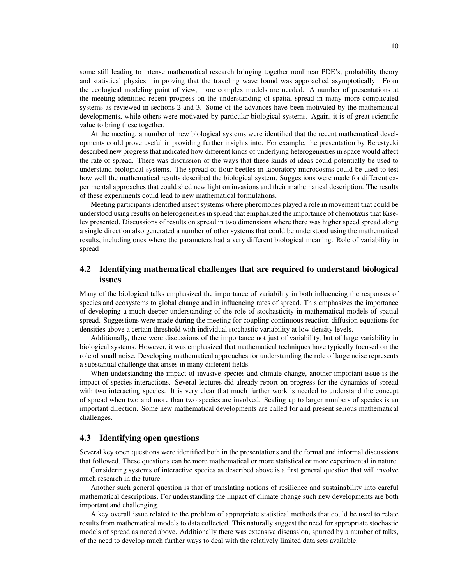some still leading to intense mathematical research bringing together nonlinear PDE's, probability theory and statistical physics. in proving that the traveling wave found was approached asymptotically. From the ecological modeling point of view, more complex models are needed. A number of presentations at the meeting identified recent progress on the understanding of spatial spread in many more complicated systems as reviewed in sections 2 and 3. Some of the advances have been motivated by the mathematical developments, while others were motivated by particular biological systems. Again, it is of great scientific value to bring these together.

At the meeting, a number of new biological systems were identified that the recent mathematical developments could prove useful in providing further insights into. For example, the presentation by Berestycki described new progress that indicated how different kinds of underlying heterogeneities in space would affect the rate of spread. There was discussion of the ways that these kinds of ideas could potentially be used to understand biological systems. The spread of flour beetles in laboratory microcosms could be used to test how well the mathematical results described the biological system. Suggestions were made for different experimental approaches that could shed new light on invasions and their mathematical description. The results of these experiments could lead to new mathematical formulations.

Meeting participants identified insect systems where pheromones played a role in movement that could be understood using results on heterogeneities in spread that emphasized the importance of chemotaxis that Kiselev presented. Discussions of results on spread in two dimensions where there was higher speed spread along a single direction also generated a number of other systems that could be understood using the mathematical results, including ones where the parameters had a very different biological meaning. Role of variability in spread

### 4.2 Identifying mathematical challenges that are required to understand biological issues

Many of the biological talks emphasized the importance of variability in both influencing the responses of species and ecosystems to global change and in influencing rates of spread. This emphasizes the importance of developing a much deeper understanding of the role of stochasticity in mathematical models of spatial spread. Suggestions were made during the meeting for coupling continuous reaction-diffusion equations for densities above a certain threshold with individual stochastic variability at low density levels.

Additionally, there were discussions of the importance not just of variability, but of large variability in biological systems. However, it was emphasized that mathematical techniques have typically focused on the role of small noise. Developing mathematical approaches for understanding the role of large noise represents a substantial challenge that arises in many different fields.

When understanding the impact of invasive species and climate change, another important issue is the impact of species interactions. Several lectures did already report on progress for the dynamics of spread with two interacting species. It is very clear that much further work is needed to understand the concept of spread when two and more than two species are involved. Scaling up to larger numbers of species is an important direction. Some new mathematical developments are called for and present serious mathematical challenges.

#### 4.3 Identifying open questions

Several key open questions were identified both in the presentations and the formal and informal discussions that followed. These questions can be more mathematical or more statistical or more experimental in nature.

Considering systems of interactive species as described above is a first general question that will involve much research in the future.

Another such general question is that of translating notions of resilience and sustainability into careful mathematical descriptions. For understanding the impact of climate change such new developments are both important and challenging.

A key overall issue related to the problem of appropriate statistical methods that could be used to relate results from mathematical models to data collected. This naturally suggest the need for appropriate stochastic models of spread as noted above. Additionally there was extensive discussion, spurred by a number of talks, of the need to develop much further ways to deal with the relatively limited data sets available.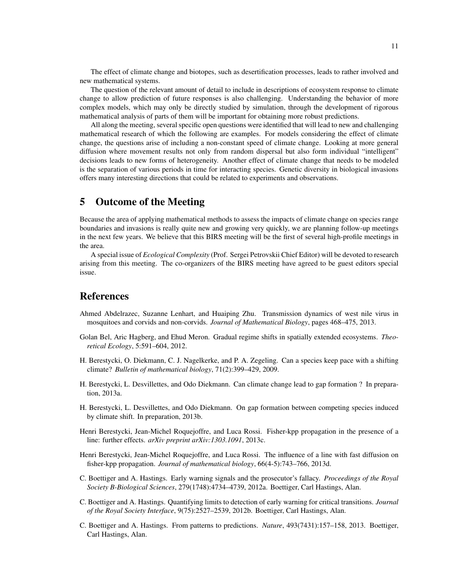The effect of climate change and biotopes, such as desertification processes, leads to rather involved and new mathematical systems.

The question of the relevant amount of detail to include in descriptions of ecosystem response to climate change to allow prediction of future responses is also challenging. Understanding the behavior of more complex models, which may only be directly studied by simulation, through the development of rigorous mathematical analysis of parts of them will be important for obtaining more robust predictions.

All along the meeting, several specific open questions were identified that will lead to new and challenging mathematical research of which the following are examples. For models considering the effect of climate change, the questions arise of including a non-constant speed of climate change. Looking at more general diffusion where movement results not only from random dispersal but also form individual "intelligent" decisions leads to new forms of heterogeneity. Another effect of climate change that needs to be modeled is the separation of various periods in time for interacting species. Genetic diversity in biological invasions offers many interesting directions that could be related to experiments and observations.

# 5 Outcome of the Meeting

Because the area of applying mathematical methods to assess the impacts of climate change on species range boundaries and invasions is really quite new and growing very quickly, we are planning follow-up meetings in the next few years. We believe that this BIRS meeting will be the first of several high-profile meetings in the area.

A special issue of *Ecological Complexity* (Prof. Sergei Petrovskii Chief Editor) will be devoted to research arising from this meeting. The co-organizers of the BIRS meeting have agreed to be guest editors special issue.

### References

- Ahmed Abdelrazec, Suzanne Lenhart, and Huaiping Zhu. Transmission dynamics of west nile virus in mosquitoes and corvids and non-corvids. *Journal of Mathematical Biology*, pages 468–475, 2013.
- Golan Bel, Aric Hagberg, and Ehud Meron. Gradual regime shifts in spatially extended ecosystems. *Theoretical Ecology*, 5:591–604, 2012.
- H. Berestycki, O. Diekmann, C. J. Nagelkerke, and P. A. Zegeling. Can a species keep pace with a shifting climate? *Bulletin of mathematical biology*, 71(2):399–429, 2009.
- H. Berestycki, L. Desvillettes, and Odo Diekmann. Can climate change lead to gap formation ? In preparation, 2013a.
- H. Berestycki, L. Desvillettes, and Odo Diekmann. On gap formation between competing species induced by climate shift. In preparation, 2013b.
- Henri Berestycki, Jean-Michel Roquejoffre, and Luca Rossi. Fisher-kpp propagation in the presence of a line: further effects. *arXiv preprint arXiv:1303.1091*, 2013c.
- Henri Berestycki, Jean-Michel Roquejoffre, and Luca Rossi. The influence of a line with fast diffusion on fisher-kpp propagation. *Journal of mathematical biology*, 66(4-5):743–766, 2013d.
- C. Boettiger and A. Hastings. Early warning signals and the prosecutor's fallacy. *Proceedings of the Royal Society B-Biological Sciences*, 279(1748):4734–4739, 2012a. Boettiger, Carl Hastings, Alan.
- C. Boettiger and A. Hastings. Quantifying limits to detection of early warning for critical transitions. *Journal of the Royal Society Interface*, 9(75):2527–2539, 2012b. Boettiger, Carl Hastings, Alan.
- C. Boettiger and A. Hastings. From patterns to predictions. *Nature*, 493(7431):157–158, 2013. Boettiger, Carl Hastings, Alan.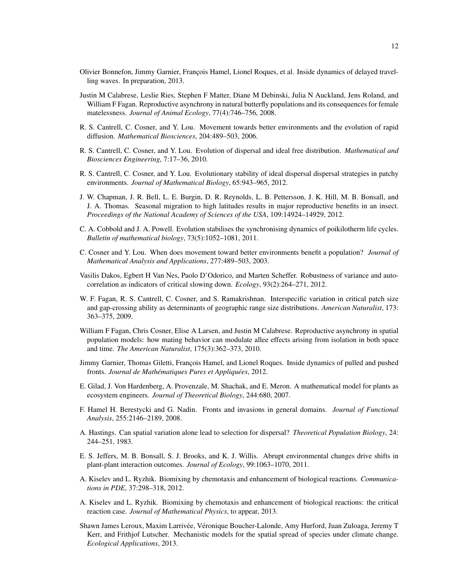- Olivier Bonnefon, Jimmy Garnier, Francois Hamel, Lionel Roques, et al. Inside dynamics of delayed travelling waves. In preparation, 2013.
- Justin M Calabrese, Leslie Ries, Stephen F Matter, Diane M Debinski, Julia N Auckland, Jens Roland, and William F Fagan. Reproductive asynchrony in natural butterfly populations and its consequences for female matelessness. *Journal of Animal Ecology*, 77(4):746–756, 2008.
- R. S. Cantrell, C. Cosner, and Y. Lou. Movement towards better environments and the evolution of rapid diffusion. *Mathematical Biosciences*, 204:489–503, 2006.
- R. S. Cantrell, C. Cosner, and Y. Lou. Evolution of dispersal and ideal free distribution. *Mathematical and Biosciences Engineering*, 7:17–36, 2010.
- R. S. Cantrell, C. Cosner, and Y. Lou. Evolutionary stability of ideal dispersal dispersal strategies in patchy environments. *Journal of Mathematical Biology*, 65:943–965, 2012.
- J. W. Chapman, J. R. Bell, L. E. Burgin, D. R. Reynolds, L. B. Pettersson, J. K. Hill, M. B. Bonsall, and J. A. Thomas. Seasonal migration to high latitudes results in major reproductive benefits in an insect. *Proceedings of the National Academy of Sciences of the USA*, 109:14924–14929, 2012.
- C. A. Cobbold and J. A. Powell. Evolution stabilises the synchronising dynamics of poikilotherm life cycles. *Bulletin of mathematical biology*, 73(5):1052–1081, 2011.
- C. Cosner and Y. Lou. When does movement toward better environments benefit a population? *Journal of Mathematical Analysis and Applications*, 277:489–503, 2003.
- Vasilis Dakos, Egbert H Van Nes, Paolo D'Odorico, and Marten Scheffer. Robustness of variance and autocorrelation as indicators of critical slowing down. *Ecology*, 93(2):264–271, 2012.
- W. F. Fagan, R. S. Cantrell, C. Cosner, and S. Ramakrishnan. Interspecific variation in critical patch size and gap-crossing ability as determinants of geographic range size distributions. *American Naturalist*, 173: 363–375, 2009.
- William F Fagan, Chris Cosner, Elise A Larsen, and Justin M Calabrese. Reproductive asynchrony in spatial population models: how mating behavior can modulate allee effects arising from isolation in both space and time. *The American Naturalist*, 175(3):362–373, 2010.
- Jimmy Garnier, Thomas Giletti, François Hamel, and Lionel Roques. Inside dynamics of pulled and pushed fronts. *Journal de Mathématiques Pures et Appliquées*, 2012.
- E. Gilad, J. Von Hardenberg, A. Provenzale, M. Shachak, and E. Meron. A mathematical model for plants as ecosystem engineers. *Journal of Theoretical Biology*, 244:680, 2007.
- F. Hamel H. Berestycki and G. Nadin. Fronts and invasions in general domains. *Journal of Functional Analysis*, 255:2146–2189, 2008.
- A. Hastings. Can spatial variation alone lead to selection for dispersal? *Theoretical Population Biology*, 24: 244–251, 1983.
- E. S. Jeffers, M. B. Bonsall, S. J. Brooks, and K. J. Willis. Abrupt environmental changes drive shifts in plant-plant interaction outcomes. *Journal of Ecology*, 99:1063–1070, 2011.
- A. Kiselev and L. Ryzhik. Biomixing by chemotaxis and enhancement of biological reactions. *Communications in PDE*, 37:298–318, 2012.
- A. Kiselev and L. Ryzhik. Biomixing by chemotaxis and enhancement of biological reactions: the critical reaction case. *Journal of Mathematical Physics*, to appear, 2013.
- Shawn James Leroux, Maxim Larrivée, Véronique Boucher-Lalonde, Amy Hurford, Juan Zuloaga, Jeremy T Kerr, and Frithjof Lutscher. Mechanistic models for the spatial spread of species under climate change. *Ecological Applications*, 2013.